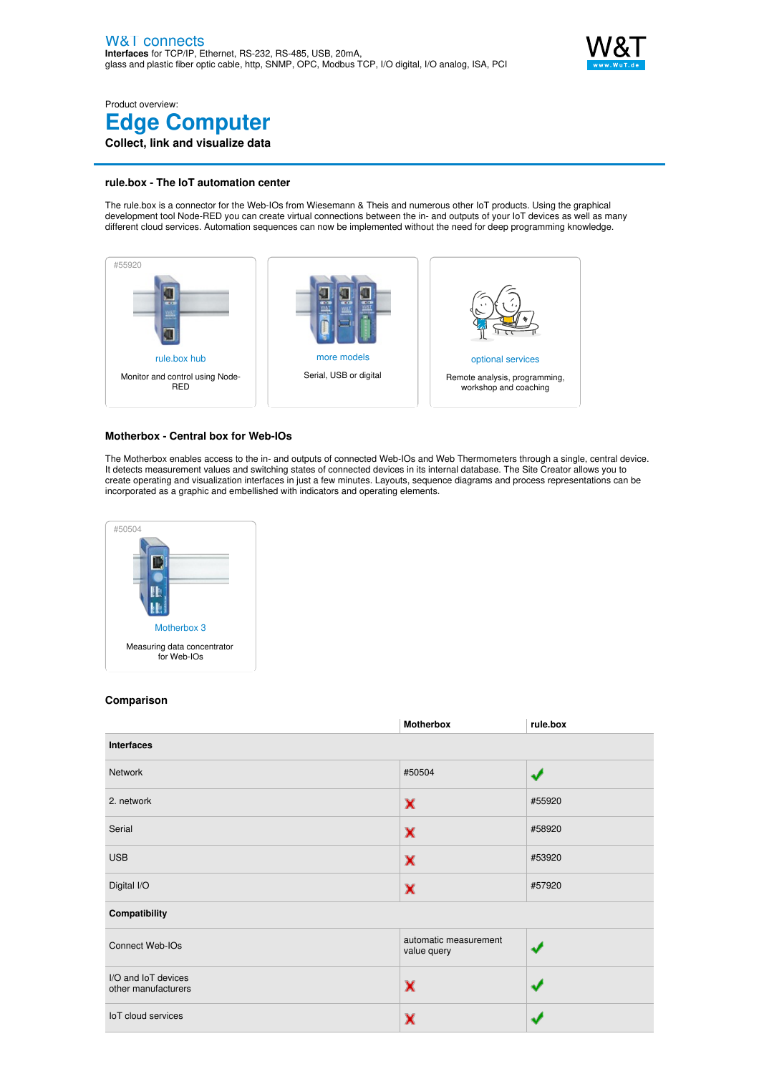

Product overview: **Edge Computer Collect, link and visualize data**

## **rule.box - The IoT automation center**

The rule.box is a connector for the Web-IOs from Wiesemann & Theis and numerous other IoT products. Using the graphical development tool Node-RED you can create virtual connections between the in- and outputs of your IoT devices as well as many different cloud services. Automation sequences can now be implemented without the need for deep programming knowledge.



## **Motherbox - Central box for Web-IOs**

The Motherbox enables access to the in- and outputs of connected Web-IOs and Web Thermometers through a single, central device. It detects measurement values and switching states of connected devices in its internal database. The Site Creator allows you to create operating and visualization interfaces in just a few minutes. Layouts, sequence diagrams and process representations can be incorporated as a graphic and embellished with indicators and operating elements.



## **Comparison**

|                                            | <b>Motherbox</b>                     | rule.box |  |
|--------------------------------------------|--------------------------------------|----------|--|
| <b>Interfaces</b>                          |                                      |          |  |
| Network                                    | #50504                               | لانفذ    |  |
| 2. network                                 | $\mathbf x$                          | #55920   |  |
| Serial                                     | $\mathbf x$                          | #58920   |  |
| <b>USB</b>                                 | $\mathbf x$                          | #53920   |  |
| Digital I/O                                | $\mathbf x$                          | #57920   |  |
| Compatibility                              |                                      |          |  |
| Connect Web-IOs                            | automatic measurement<br>value query |          |  |
| I/O and IoT devices<br>other manufacturers | $\mathbf x$                          |          |  |
| IoT cloud services                         | $\mathbf x$                          |          |  |